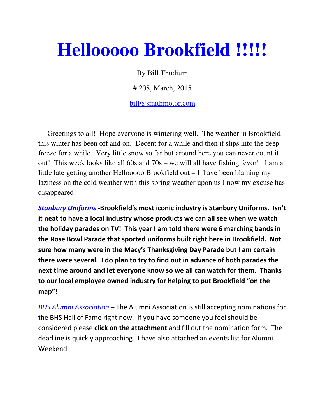## **Hellooooo Brookfield !!!!!**

By Bill Thudium

# 208, March, 2015

bill@smithmotor.com

 Greetings to all! Hope everyone is wintering well. The weather in Brookfield this winter has been off and on. Decent for a while and then it slips into the deep freeze for a while. Very little snow so far but around here you can never count it out! This week looks like all 60s and 70s – we will all have fishing fevor! I am a little late getting another Hellooooo Brookfield out – I have been blaming my laziness on the cold weather with this spring weather upon us I now my excuse has disappeared!

Stanbury Uniforms -Brookfield's most iconic industry is Stanbury Uniforms. Isn't it neat to have a local industry whose products we can all see when we watch the holiday parades on TV! This year I am told there were 6 marching bands in the Rose Bowl Parade that sported uniforms built right here in Brookfield. Not sure how many were in the Macy's Thanksgiving Day Parade but I am certain there were several. I do plan to try to find out in advance of both parades the next time around and let everyone know so we all can watch for them. Thanks to our local employee owned industry for helping to put Brookfield "on the map"!

BHS Alumni Association – The Alumni Association is still accepting nominations for the BHS Hall of Fame right now. If you have someone you feel should be considered please click on the attachment and fill out the nomination form. The deadline is quickly approaching. I have also attached an events list for Alumni Weekend.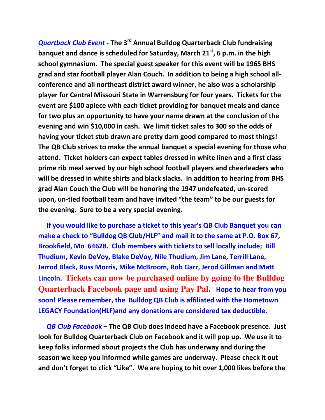Quartback Club Event - The 3<sup>rd</sup> Annual Bulldog Quarterback Club fundraising banquet and dance is scheduled for Saturday, March  $21<sup>st</sup>$ , 6 p.m. in the high school gymnasium. The special guest speaker for this event will be 1965 BHS grad and star football player Alan Couch. In addition to being a high school allconference and all northeast district award winner, he also was a scholarship player for Central Missouri State in Warrensburg for four years. Tickets for the event are \$100 apiece with each ticket providing for banquet meals and dance for two plus an opportunity to have your name drawn at the conclusion of the evening and win \$10,000 in cash. We limit ticket sales to 300 so the odds of having your ticket stub drawn are pretty darn good compared to most things! The QB Club strives to make the annual banquet a special evening for those who attend. Ticket holders can expect tables dressed in white linen and a first class prime rib meal served by our high school football players and cheerleaders who will be dressed in white shirts and black slacks. In addition to hearing from BHS grad Alan Couch the Club will be honoring the 1947 undefeated, un-scored upon, un-tied football team and have invited "the team" to be our guests for the evening. Sure to be a very special evening.

 If you would like to purchase a ticket to this year's QB Club Banquet you can make a check to "Bulldog QB Club/HLF" and mail it to the same at P.O. Box 67, Brookfield, Mo 64628. Club members with tickets to sell locally include; Bill Thudium, Kevin DeVoy, Blake DeVoy, Nile Thudium, Jim Lane, Terrill Lane, Jarrod Black, Russ Morris, Mike McBroom, Rob Garr, Jerod Gillman and Matt Lincoln. **Tickets can now be purchased online by going to the Bulldog Quarterback Facebook page and using Pay Pal.** Hope to hear from you soon! Please remember, the Bulldog QB Club is affiliated with the Hometown LEGACY Foundation(HLF)and any donations are considered tax deductible.

QB Club Facebook – The QB Club does indeed have a Facebook presence. Just look for Bulldog Quarterback Club on Facebook and it will pop up. We use it to keep folks informed about projects the Club has underway and during the season we keep you informed while games are underway. Please check it out and don't forget to click "Like". We are hoping to hit over 1,000 likes before the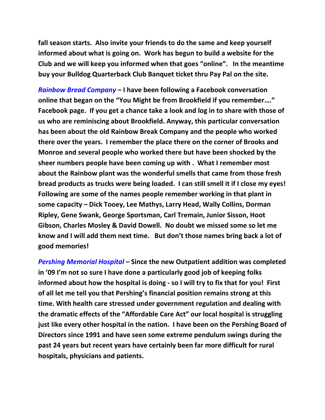fall season starts. Also invite your friends to do the same and keep yourself informed about what is going on. Work has begun to build a website for the Club and we will keep you informed when that goes "online". In the meantime buy your Bulldog Quarterback Club Banquet ticket thru Pay Pal on the site.

Rainbow Bread Company – I have been following a Facebook conversation online that began on the "You Might be from Brookfield if you remember…." Facebook page. If you get a chance take a look and log in to share with those of us who are reminiscing about Brookfield. Anyway, this particular conversation has been about the old Rainbow Break Company and the people who worked there over the years. I remember the place there on the corner of Brooks and Monroe and several people who worked there but have been shocked by the sheer numbers people have been coming up with . What I remember most about the Rainbow plant was the wonderful smells that came from those fresh bread products as trucks were being loaded. I can still smell it if I close my eyes! Following are some of the names people remember working in that plant in some capacity – Dick Tooey, Lee Mathys, Larry Head, Wally Collins, Dorman Ripley, Gene Swank, George Sportsman, Carl Tremain, Junior Sisson, Hoot Gibson, Charles Mosley & David Dowell. No doubt we missed some so let me know and I will add them next time. But don't those names bring back a lot of good memories!

Pershing Memorial Hospital – Since the new Outpatient addition was completed in '09 I'm not so sure I have done a particularly good job of keeping folks informed about how the hospital is doing - so I will try to fix that for you! First of all let me tell you that Pershing's financial position remains strong at this time. With health care stressed under government regulation and dealing with the dramatic effects of the "Affordable Care Act" our local hospital is struggling just like every other hospital in the nation. I have been on the Pershing Board of Directors since 1991 and have seen some extreme pendulum swings during the past 24 years but recent years have certainly been far more difficult for rural hospitals, physicians and patients.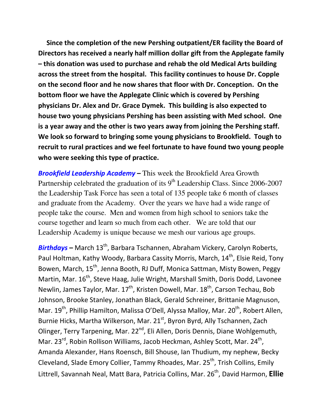Since the completion of the new Pershing outpatient/ER facility the Board of Directors has received a nearly half million dollar gift from the Applegate family – this donation was used to purchase and rehab the old Medical Arts building across the street from the hospital. This facility continues to house Dr. Copple on the second floor and he now shares that floor with Dr. Conception. On the bottom floor we have the Applegate Clinic which is covered by Pershing physicians Dr. Alex and Dr. Grace Dymek. This building is also expected to house two young physicians Pershing has been assisting with Med school. One is a year away and the other is two years away from joining the Pershing staff. We look so forward to bringing some young physicians to Brookfield. Tough to recruit to rural practices and we feel fortunate to have found two young people who were seeking this type of practice.

**Brookfield Leadership Academy – This week the Brookfield Area Growth** Partnership celebrated the graduation of its  $9<sup>th</sup>$  Leadership Class. Since 2006-2007 the Leadership Task Force has seen a total of 135 people take 6 month of classes and graduate from the Academy. Over the years we have had a wide range of people take the course. Men and women from high school to seniors take the course together and learn so much from each other. We are told that our Leadership Academy is unique because we mesh our various age groups.

**Birthdays** – March 13<sup>th</sup>, Barbara Tschannen, Abraham Vickery, Carolyn Roberts, Paul Holtman, Kathy Woody, Barbara Cassity Morris, March, 14<sup>th</sup>, Elsie Reid, Tony Bowen, March, 15<sup>th</sup>, Jenna Booth, RJ Duff, Monica Sattman, Misty Bowen, Peggy Martin, Mar. 16<sup>th</sup>, Steve Haag, Julie Wright, Marshall Smith, Doris Dodd, Lavonee Newlin, James Taylor, Mar.  $17<sup>th</sup>$ , Kristen Dowell, Mar.  $18<sup>th</sup>$ , Carson Techau, Bob Johnson, Brooke Stanley, Jonathan Black, Gerald Schreiner, Brittanie Magnuson, Mar. 19<sup>th</sup>, Phillip Hamilton, Malissa O'Dell, Alyssa Malloy, Mar. 20<sup>th</sup>, Robert Allen, Burnie Hicks, Martha Wilkerson, Mar. 21<sup>st</sup>, Byron Byrd, Ally Tschannen, Zach Olinger, Terry Tarpening, Mar. 22<sup>nd</sup>, Eli Allen, Doris Dennis, Diane Wohlgemuth, Mar. 23<sup>rd</sup>, Robin Rollison Williams, Jacob Heckman, Ashley Scott, Mar. 24<sup>th</sup>, Amanda Alexander, Hans Roensch, Bill Shouse, Ian Thudium, my nephew, Becky Cleveland, Slade Emory Collier, Tammy Rhoades, Mar. 25<sup>th</sup>, Trish Collins, Emily Littrell, Savannah Neal, Matt Bara, Patricia Collins, Mar. 26<sup>th</sup>, David Harmon, Ellie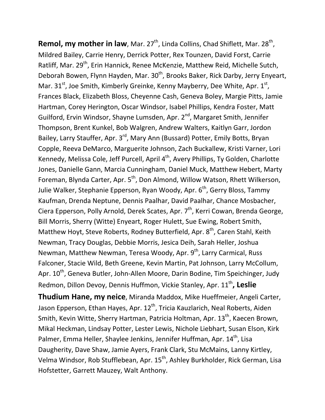**Remol, my mother in law**, Mar. 27<sup>th</sup>, Linda Collins, Chad Shiflett, Mar. 28<sup>th</sup>, Mildred Bailey, Carrie Henry, Derrick Potter, Rex Tounzen, David Forst, Carrie Ratliff, Mar. 29<sup>th</sup>, Erin Hannick, Renee McKenzie, Matthew Reid, Michelle Sutch, Deborah Bowen, Flynn Hayden, Mar. 30<sup>th</sup>, Brooks Baker, Rick Darby, Jerry Enyeart, Mar. 31<sup>st</sup>, Joe Smith, Kimberly Greinke, Kenny Mayberry, Dee White, Apr. 1st, Frances Black, Elizabeth Bloss, Cheyenne Cash, Geneva Boley, Margie Pitts, Jamie Hartman, Corey Herington, Oscar Windsor, Isabel Phillips, Kendra Foster, Matt Guilford, Ervin Windsor, Shayne Lumsden, Apr. 2<sup>nd</sup>, Margaret Smith, Jennifer Thompson, Brent Kunkel, Bob Walgren, Andrew Walters, Kaitlyn Garr, Jordon Bailey, Larry Stauffer, Apr. 3<sup>rd</sup>, Mary Ann (Bussard) Potter, Emily Botts, Bryan Copple, Reeva DeMarco, Marguerite Johnson, Zach Buckallew, Kristi Varner, Lori Kennedy, Melissa Cole, Jeff Purcell, April 4<sup>th</sup>, Avery Phillips, Ty Golden, Charlotte Jones, Danielle Gann, Marcia Cunningham, Daniel Muck, Matthew Hebert, Marty Foreman, Blynda Carter, Apr. 5<sup>th</sup>, Don Almond, Willow Watson, Rhett Wilkerson, Julie Walker, Stephanie Epperson, Ryan Woody, Apr. 6<sup>th</sup>, Gerry Bloss, Tammy Kaufman, Drenda Neptune, Dennis Paalhar, David Paalhar, Chance Mosbacher, Ciera Epperson, Polly Arnold, Derek Scates, Apr. 7<sup>th</sup>, Kerri Cowan, Brenda George, Bill Morris, Sherry (Witte) Enyeart, Roger Hulett, Sue Ewing, Robert Smith, Matthew Hoyt, Steve Roberts, Rodney Butterfield, Apr. 8<sup>th</sup>, Caren Stahl, Keith Newman, Tracy Douglas, Debbie Morris, Jesica Deih, Sarah Heller, Joshua Newman, Matthew Newman, Teresa Woody, Apr. 9<sup>th</sup>, Larry Carmical, Russ Falconer, Stacie Wild, Beth Greene, Kevin Martin, Pat Johnson, Larry McCollum, Apr. 10<sup>th</sup>, Geneva Butler, John-Allen Moore, Darin Bodine, Tim Speichinger, Judy Redmon, Dillon Devoy, Dennis Huffmon, Vickie Stanley, Apr. 11<sup>th</sup>, Leslie Thudium Hane, my neice, Miranda Maddox, Mike Hueffmeier, Angeli Carter,

Jason Epperson, Ethan Hayes, Apr. 12<sup>th</sup>, Tricia Kauzlarich, Neal Roberts, Aiden Smith, Kevin Witte, Sherry Hartman, Patricia Holtman, Apr. 13<sup>th</sup>, Kaecen Brown, Mikal Heckman, Lindsay Potter, Lester Lewis, Nichole Liebhart, Susan Elson, Kirk Palmer, Emma Heller, Shaylee Jenkins, Jennifer Huffman, Apr. 14<sup>th</sup>, Lisa Daugherity, Dave Shaw, Jamie Ayers, Frank Clark, Stu McMains, Lanny Kirtley, Velma Windsor, Rob Stufflebean, Apr. 15<sup>th</sup>, Ashley Burkholder, Rick German, Lisa Hofstetter, Garrett Mauzey, Walt Anthony.